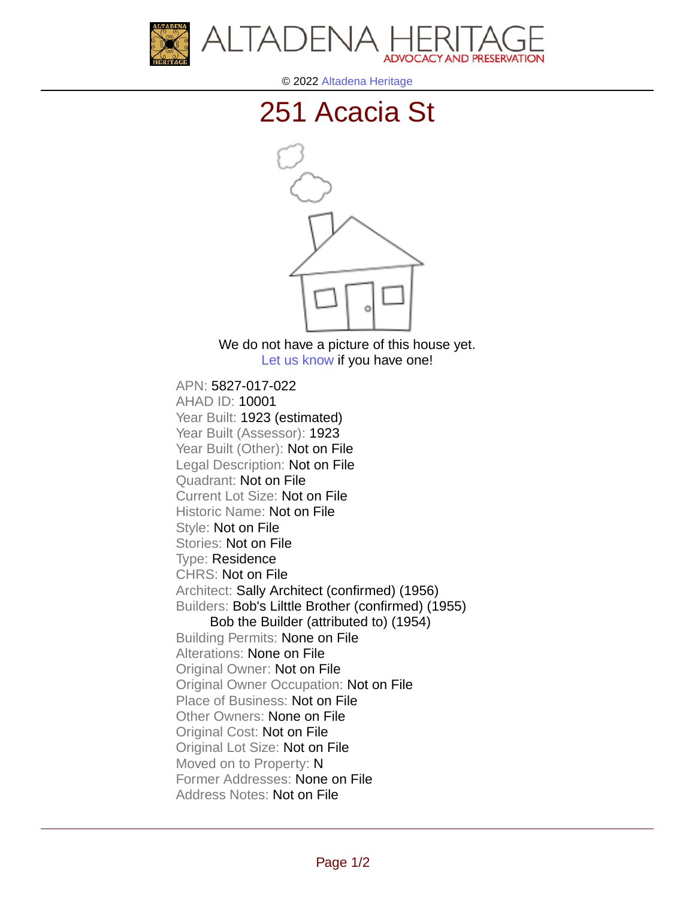



© 2022 [Altadena Heritage](http://altadenaheritage.org/)

## [251 Acacia St](ahad.altadenaheritagepdb.org/properties/10001)



We do not have a picture of this house yet. [Let us know](http://altadenaheritage.org/contact-us/) if you have one!

APN: 5827-017-022 [AHAD ID: 10001](ahad.altadenaheritagepdb.org/properties/10001) Year Built: 1923 (estimated) Year Built (Assessor): 1923 Year Built (Other): Not on File Legal Description: Not on File Quadrant: Not on File Current Lot Size: Not on File Historic Name: Not on File Style: Not on File Stories: Not on File Type: Residence CHRS: Not on File Architect: Sally Architect (confirmed) (1956) Builders: Bob's Lilttle Brother (confirmed) (1955) Bob the Builder (attributed to) (1954) Building Permits: None on File Alterations: None on File Original Owner: Not on File Original Owner Occupation: Not on File Place of Business: Not on File Other Owners: None on File Original Cost: Not on File Original Lot Size: Not on File Moved on to Property: N Former Addresses: None on File Address Notes: Not on File